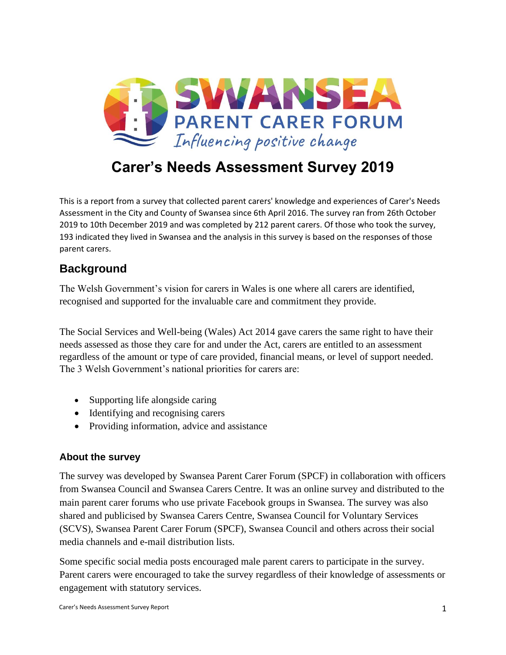

# **Carer's Needs Assessment Survey 2019**

This is a report from a survey that collected parent carers' knowledge and experiences of Carer's Needs Assessment in the City and County of Swansea since 6th April 2016. The survey ran from 26th October 2019 to 10th December 2019 and was completed by 212 parent carers. Of those who took the survey, 193 indicated they lived in Swansea and the analysis in this survey is based on the responses of those parent carers.

# **Background**

The Welsh Government's vision for carers in Wales is one where all carers are identified, recognised and supported for the invaluable care and commitment they provide.

The Social Services and Well-being (Wales) Act 2014 gave carers the same right to have their needs assessed as those they care for and under the Act, carers are entitled to an assessment regardless of the amount or type of care provided, financial means, or level of support needed. The 3 Welsh Government's national priorities for carers are:

- Supporting life alongside caring
- Identifying and recognising carers
- Providing information, advice and assistance

# **About the survey**

The survey was developed by Swansea Parent Carer Forum (SPCF) in collaboration with officers from Swansea Council and Swansea Carers Centre. It was an online survey and distributed to the main parent carer forums who use private Facebook groups in Swansea. The survey was also shared and publicised by Swansea Carers Centre, Swansea Council for Voluntary Services (SCVS), Swansea Parent Carer Forum (SPCF), Swansea Council and others across their social media channels and e-mail distribution lists.

Some specific social media posts encouraged male parent carers to participate in the survey. Parent carers were encouraged to take the survey regardless of their knowledge of assessments or engagement with statutory services.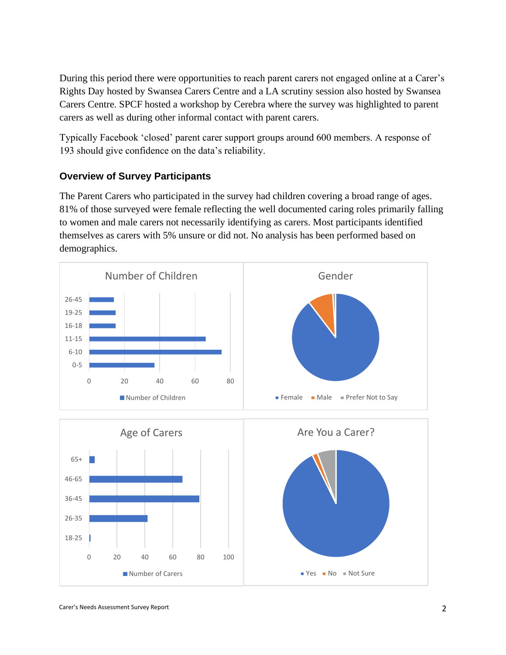During this period there were opportunities to reach parent carers not engaged online at a Carer's Rights Day hosted by Swansea Carers Centre and a LA scrutiny session also hosted by Swansea Carers Centre. SPCF hosted a workshop by Cerebra where the survey was highlighted to parent carers as well as during other informal contact with parent carers.

Typically Facebook 'closed' parent carer support groups around 600 members. A response of 193 should give confidence on the data's reliability.

# **Overview of Survey Participants**

The Parent Carers who participated in the survey had children covering a broad range of ages. 81% of those surveyed were female reflecting the well documented caring roles primarily falling to women and male carers not necessarily identifying as carers. Most participants identified themselves as carers with 5% unsure or did not. No analysis has been performed based on demographics.

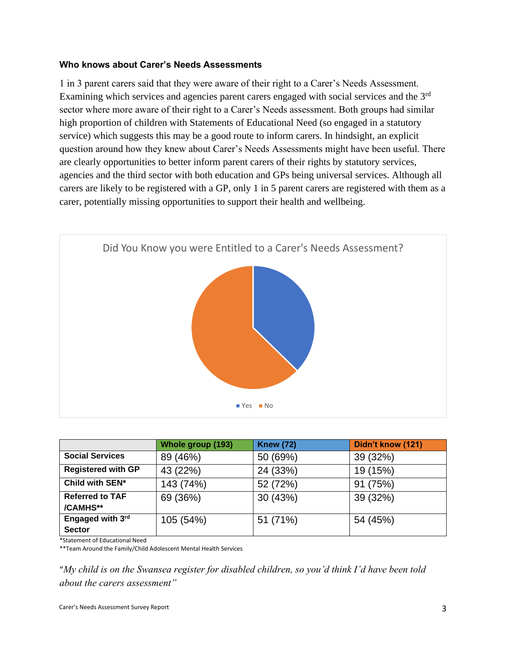#### **Who knows about Carer's Needs Assessments**

1 in 3 parent carers said that they were aware of their right to a Carer's Needs Assessment. Examining which services and agencies parent carers engaged with social services and the 3rd sector where more aware of their right to a Carer's Needs assessment. Both groups had similar high proportion of children with Statements of Educational Need (so engaged in a statutory service) which suggests this may be a good route to inform carers. In hindsight, an explicit question around how they knew about Carer's Needs Assessments might have been useful. There are clearly opportunities to better inform parent carers of their rights by statutory services, agencies and the third sector with both education and GPs being universal services. Although all carers are likely to be registered with a GP, only 1 in 5 parent carers are registered with them as a carer, potentially missing opportunities to support their health and wellbeing.



|                                    | Whole group (193) | <b>Knew (72)</b> | Didn't know (121) |
|------------------------------------|-------------------|------------------|-------------------|
| <b>Social Services</b>             | 89 (46%)          | 50 (69%)         | 39 (32%)          |
| <b>Registered with GP</b>          | 43 (22%)          | 24 (33%)         | 19 (15%)          |
| Child with SEN*                    | 143 (74%)         | 52 (72%)         | 91 (75%)          |
| <b>Referred to TAF</b><br>/CAMHS** | 69 (36%)          | 30 (43%)         | 39 (32%)          |
| Engaged with 3rd<br><b>Sector</b>  | 105 (54%)         | 51 (71%)         | 54 (45%)          |

\*Statement of Educational Need

\*\*Team Around the Family/Child Adolescent Mental Health Services

"*My child is on the Swansea register for disabled children, so you'd think I'd have been told about the carers assessment"*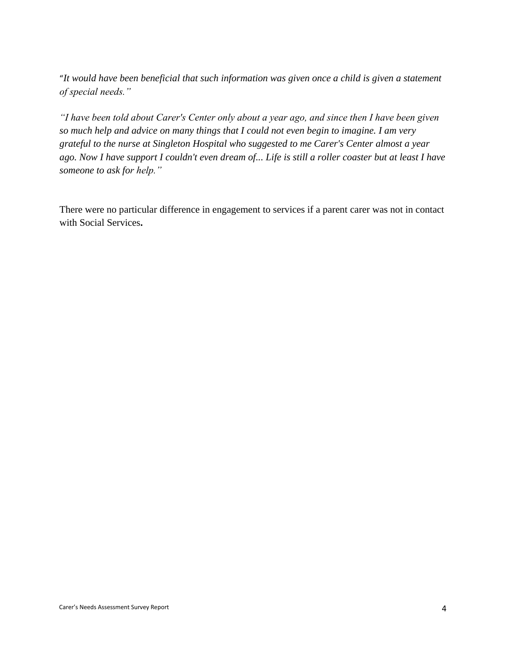"*It would have been beneficial that such information was given once a child is given a statement of special needs."*

*"I have been told about Carer's Center only about a year ago, and since then I have been given so much help and advice on many things that I could not even begin to imagine. I am very grateful to the nurse at Singleton Hospital who suggested to me Carer's Center almost a year ago. Now I have support I couldn't even dream of... Life is still a roller coaster but at least I have someone to ask for help."*

There were no particular difference in engagement to services if a parent carer was not in contact with Social Services**.**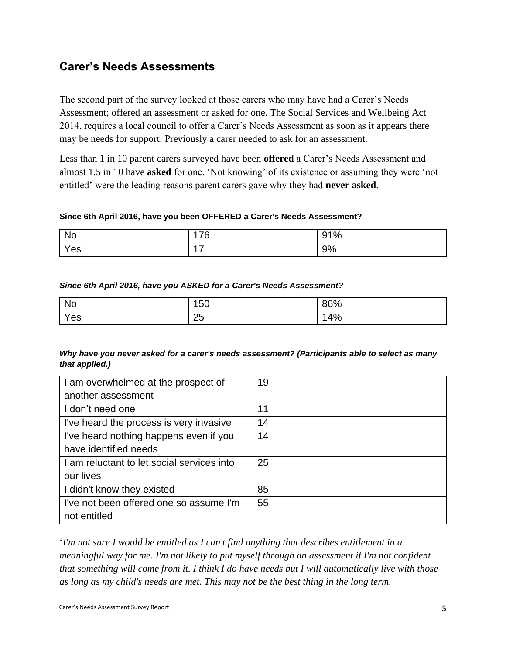# **Carer's Needs Assessments**

The second part of the survey looked at those carers who may have had a Carer's Needs Assessment; offered an assessment or asked for one. The Social Services and Wellbeing Act 2014, requires a local council to offer a Carer's Needs Assessment as soon as it appears there may be needs for support. Previously a carer needed to ask for an assessment.

Less than 1 in 10 parent carers surveyed have been **offered** a Carer's Needs Assessment and almost 1.5 in 10 have **asked** for one. 'Not knowing' of its existence or assuming they were 'not entitled' were the leading reasons parent carers gave why they had **never asked**.

#### **Since 6th April 2016, have you been OFFERED a Carer's Needs Assessment?**

| No  | 176<br>-                  | 91% |
|-----|---------------------------|-----|
| Yes | $\rightarrow$<br>л<br>. . | 9%  |

#### *Since 6th April 2016, have you ASKED for a Carer's Needs Assessment?*

| <b>No</b> | 150      | 86% |
|-----------|----------|-----|
| Yes       | ク斥<br>∠◡ | 4%  |

#### *Why have you never asked for a carer's needs assessment? (Participants able to select as many that applied.)*

| I am overwhelmed at the prospect of        | 19 |
|--------------------------------------------|----|
| another assessment                         |    |
| I don't need one                           | 11 |
| I've heard the process is very invasive    | 14 |
| I've heard nothing happens even if you     | 14 |
| have identified needs                      |    |
| I am reluctant to let social services into | 25 |
| our lives                                  |    |
| I didn't know they existed                 | 85 |
| I've not been offered one so assume I'm    | 55 |
| not entitled                               |    |

'*I'm not sure I would be entitled as I can't find anything that describes entitlement in a meaningful way for me. I'm not likely to put myself through an assessment if I'm not confident that something will come from it. I think I do have needs but I will automatically live with those as long as my child's needs are met. This may not be the best thing in the long term.*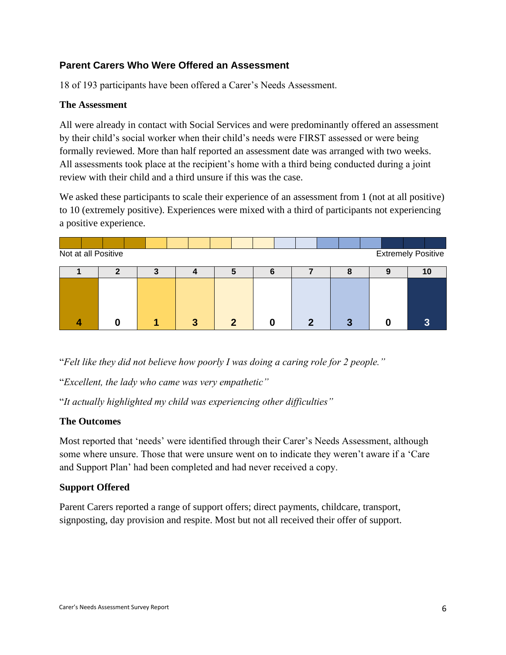# **Parent Carers Who Were Offered an Assessment**

18 of 193 participants have been offered a Carer's Needs Assessment.

#### **The Assessment**

All were already in contact with Social Services and were predominantly offered an assessment by their child's social worker when their child's needs were FIRST assessed or were being formally reviewed. More than half reported an assessment date was arranged with two weeks. All assessments took place at the recipient's home with a third being conducted during a joint review with their child and a third unsure if this was the case.

We asked these participants to scale their experience of an assessment from 1 (not at all positive) to 10 (extremely positive). Experiences were mixed with a third of participants not experiencing a positive experience.

| Not at all Positive<br><b>Extremely Positive</b> |  |  |  |  |  |  |  |  |  |  |  |  |   |  |                          |
|--------------------------------------------------|--|--|--|--|--|--|--|--|--|--|--|--|---|--|--------------------------|
|                                                  |  |  |  |  |  |  |  |  |  |  |  |  | 8 |  | 10                       |
|                                                  |  |  |  |  |  |  |  |  |  |  |  |  |   |  |                          |
|                                                  |  |  |  |  |  |  |  |  |  |  |  |  |   |  |                          |
|                                                  |  |  |  |  |  |  |  |  |  |  |  |  |   |  |                          |
|                                                  |  |  |  |  |  |  |  |  |  |  |  |  |   |  | $\overline{\phantom{a}}$ |

"*Felt like they did not believe how poorly I was doing a caring role for 2 people."* 

"*Excellent, the lady who came was very empathetic"*

"*It actually highlighted my child was experiencing other difficulties"*

#### **The Outcomes**

Most reported that 'needs' were identified through their Carer's Needs Assessment, although some where unsure. Those that were unsure went on to indicate they weren't aware if a 'Care and Support Plan' had been completed and had never received a copy.

# **Support Offered**

Parent Carers reported a range of support offers; direct payments, childcare, transport, signposting, day provision and respite. Most but not all received their offer of support.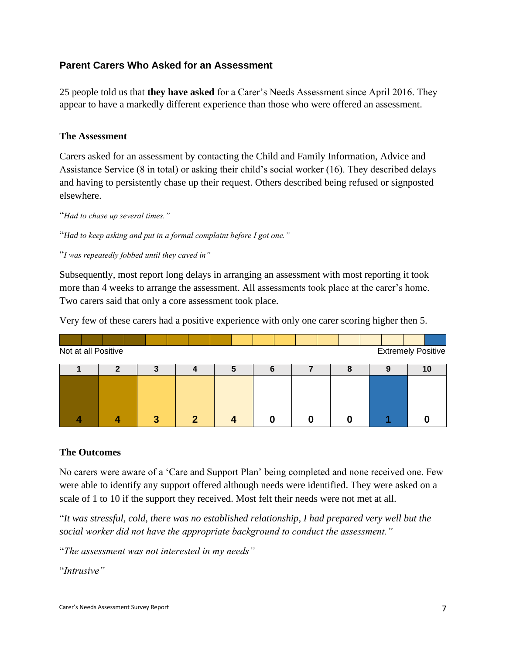# **Parent Carers Who Asked for an Assessment**

25 people told us that **they have asked** for a Carer's Needs Assessment since April 2016. They appear to have a markedly different experience than those who were offered an assessment.

### **The Assessment**

Carers asked for an assessment by contacting the Child and Family Information, Advice and Assistance Service (8 in total) or asking their child's social worker (16). They described delays and having to persistently chase up their request. Others described being refused or signposted elsewhere.

"*Had to chase up several times."*

"*Had to keep asking and put in a formal complaint before I got one."*

"*I was repeatedly fobbed until they caved in"*

Subsequently, most report long delays in arranging an assessment with most reporting it took more than 4 weeks to arrange the assessment. All assessments took place at the carer's home. Two carers said that only a core assessment took place.

Very few of these carers had a positive experience with only one carer scoring higher then 5.

| <b>Extremely Positive</b><br>Not at all Positive |  |  |  |  |   |  |   |  |  |  |  |  |  |    |
|--------------------------------------------------|--|--|--|--|---|--|---|--|--|--|--|--|--|----|
|                                                  |  |  |  |  |   |  | n |  |  |  |  |  |  | 10 |
|                                                  |  |  |  |  |   |  |   |  |  |  |  |  |  |    |
|                                                  |  |  |  |  |   |  |   |  |  |  |  |  |  |    |
|                                                  |  |  |  |  |   |  |   |  |  |  |  |  |  |    |
|                                                  |  |  |  |  | m |  |   |  |  |  |  |  |  |    |

#### **The Outcomes**

No carers were aware of a 'Care and Support Plan' being completed and none received one. Few were able to identify any support offered although needs were identified. They were asked on a scale of 1 to 10 if the support they received. Most felt their needs were not met at all.

"*It was stressful, cold, there was no established relationship, I had prepared very well but the social worker did not have the appropriate background to conduct the assessment."*

"*The assessment was not interested in my needs"*

"*Intrusive"*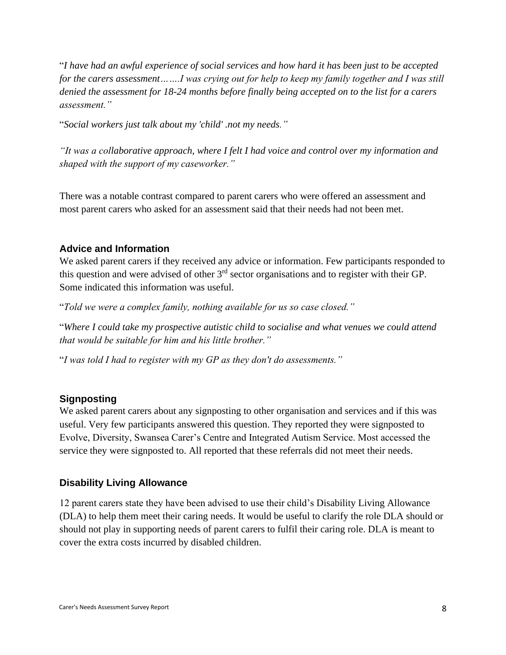"*I have had an awful experience of social services and how hard it has been just to be accepted for the carers assessment…….I was crying out for help to keep my family together and I was still denied the assessment for 18-24 months before finally being accepted on to the list for a carers assessment."*

"*Social workers just talk about my 'child' .not my needs."*

*"It was a collaborative approach, where I felt I had voice and control over my information and shaped with the support of my caseworker."*

There was a notable contrast compared to parent carers who were offered an assessment and most parent carers who asked for an assessment said that their needs had not been met.

#### **Advice and Information**

We asked parent carers if they received any advice or information. Few participants responded to this question and were advised of other 3rd sector organisations and to register with their GP. Some indicated this information was useful.

"*Told we were a complex family, nothing available for us so case closed."*

"*Where I could take my prospective autistic child to socialise and what venues we could attend that would be suitable for him and his little brother."* 

"*I was told I had to register with my GP as they don't do assessments."*

#### **Signposting**

We asked parent carers about any signposting to other organisation and services and if this was useful. Very few participants answered this question. They reported they were signposted to Evolve, Diversity, Swansea Carer's Centre and Integrated Autism Service. Most accessed the service they were signposted to. All reported that these referrals did not meet their needs.

#### **Disability Living Allowance**

12 parent carers state they have been advised to use their child's Disability Living Allowance (DLA) to help them meet their caring needs. It would be useful to clarify the role DLA should or should not play in supporting needs of parent carers to fulfil their caring role. DLA is meant to cover the extra costs incurred by disabled children.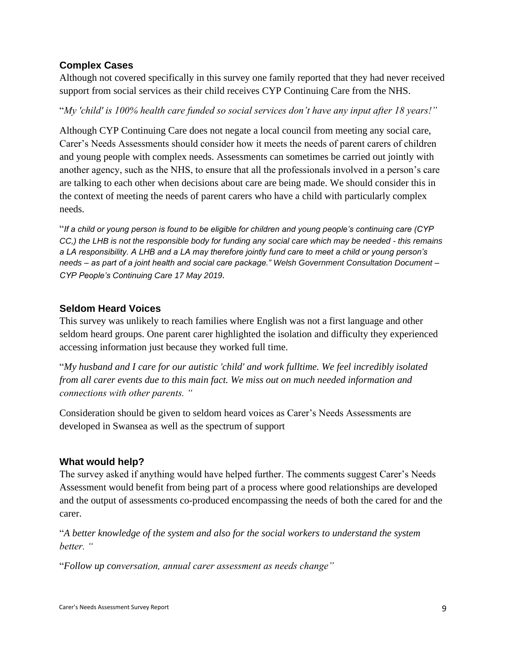# **Complex Cases**

Although not covered specifically in this survey one family reported that they had never received support from social services as their child receives CYP Continuing Care from the NHS.

"*My 'child' is 100% health care funded so social services don't have any input after 18 years!"*

Although CYP Continuing Care does not negate a local council from meeting any social care, Carer's Needs Assessments should consider how it meets the needs of parent carers of children and young people with complex needs. Assessments can sometimes be carried out jointly with another agency, such as the NHS, to ensure that all the professionals involved in a person's care are talking to each other when decisions about care are being made. We should consider this in the context of meeting the needs of parent carers who have a child with particularly complex needs.

"*If a child or young person is found to be eligible for children and young people's continuing care (CYP CC,) the LHB is not the responsible body for funding any social care which may be needed - this remains a LA responsibility. A LHB and a LA may therefore jointly fund care to meet a child or young person's needs – as part of a joint health and social care package." Welsh Government Consultation Document – CYP People's Continuing Care 17 May 2019.*

# **Seldom Heard Voices**

This survey was unlikely to reach families where English was not a first language and other seldom heard groups. One parent carer highlighted the isolation and difficulty they experienced accessing information just because they worked full time.

"*My husband and I care for our autistic 'child' and work fulltime. We feel incredibly isolated from all carer events due to this main fact. We miss out on much needed information and connections with other parents. "*

Consideration should be given to seldom heard voices as Carer's Needs Assessments are developed in Swansea as well as the spectrum of support

# **What would help?**

The survey asked if anything would have helped further. The comments suggest Carer's Needs Assessment would benefit from being part of a process where good relationships are developed and the output of assessments co-produced encompassing the needs of both the cared for and the carer.

"*A better knowledge of the system and also for the social workers to understand the system better. "*

"*Follow up conversation, annual carer assessment as needs change"*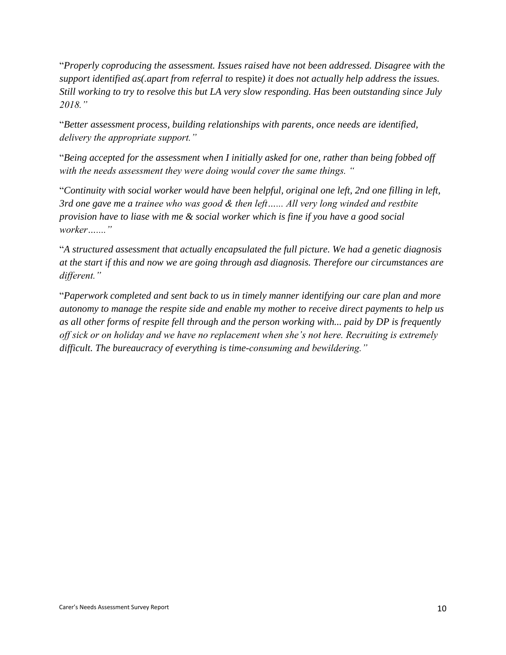"*Properly coproducing the assessment. Issues raised have not been addressed. Disagree with the support identified as(.apart from referral to* respite*) it does not actually help address the issues. Still working to try to resolve this but LA very slow responding. Has been outstanding since July 2018."*

"*Better assessment process, building relationships with parents, once needs are identified, delivery the appropriate support."*

"*Being accepted for the assessment when I initially asked for one, rather than being fobbed off with the needs assessment they were doing would cover the same things. "*

"*Continuity with social worker would have been helpful, original one left, 2nd one filling in left, 3rd one gave me a trainee who was good & then left…... All very long winded and restbite provision have to liase with me & social worker which is fine if you have a good social worker…...."*

"*A structured assessment that actually encapsulated the full picture. We had a genetic diagnosis at the start if this and now we are going through asd diagnosis. Therefore our circumstances are different."*

"*Paperwork completed and sent back to us in timely manner identifying our care plan and more autonomy to manage the respite side and enable my mother to receive direct payments to help us as all other forms of respite fell through and the person working with... paid by DP is frequently off sick or on holiday and we have no replacement when she's not here. Recruiting is extremely difficult. The bureaucracy of everything is time-consuming and bewildering."*